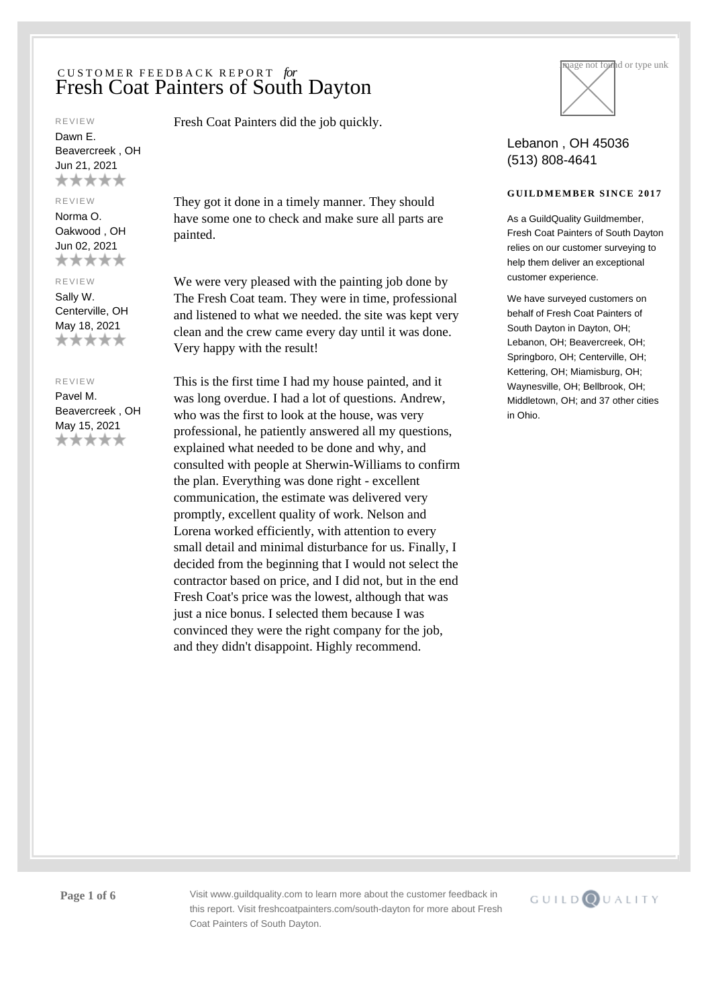#### REVIEW

Dawn E. Beavercreek , OH Jun 21, 2021 \*\*\*\*\*

#### REVIEW

Norma O. Oakwood , OH Jun 02, 2021 \*\*\*\*\*

#### REVIEW

Sally W. Centerville, OH May 18, 2021 \*\*\*\*\*

## REVIEW

Pavel M. Beavercreek , OH May 15, 2021 \*\*\*\*\*

Fresh Coat Painters did the job quickly.

They got it done in a timely manner. They should have some one to check and make sure all parts are painted.

We were very pleased with the painting job done by The Fresh Coat team. They were in time, professional and listened to what we needed. the site was kept very clean and the crew came every day until it was done. Very happy with the result!

This is the first time I had my house painted, and it was long overdue. I had a lot of questions. Andrew, who was the first to look at the house, was very professional, he patiently answered all my questions, explained what needed to be done and why, and consulted with people at Sherwin-Williams to confirm the plan. Everything was done right - excellent communication, the estimate was delivered very promptly, excellent quality of work. Nelson and Lorena worked efficiently, with attention to every small detail and minimal disturbance for us. Finally, I decided from the beginning that I would not select the contractor based on price, and I did not, but in the end Fresh Coat's price was the lowest, although that was just a nice bonus. I selected them because I was convinced they were the right company for the job, and they didn't disappoint. Highly recommend.



## Lebanon , OH 45036 (513) 808-4641

## **GUILDMEMBER SINCE 2017**

As a GuildQuality Guildmember. Fresh Coat Painters of South Dayton relies on our customer surveying to help them deliver an exceptional customer experience.

We have surveyed customers on behalf of Fresh Coat Painters of South Dayton in Dayton, OH; Lebanon, OH; Beavercreek, OH; Springboro, OH; Centerville, OH; Kettering, OH; Miamisburg, OH; Waynesville, OH; Bellbrook, OH; Middletown, OH; and 37 other cities in Ohio.

**Page 1 of 6** Visit www.guildquality.com to learn more about the customer feedback in this report. Visit freshcoatpainters.com/south-dayton for more about Fresh Coat Painters of South Dayton.

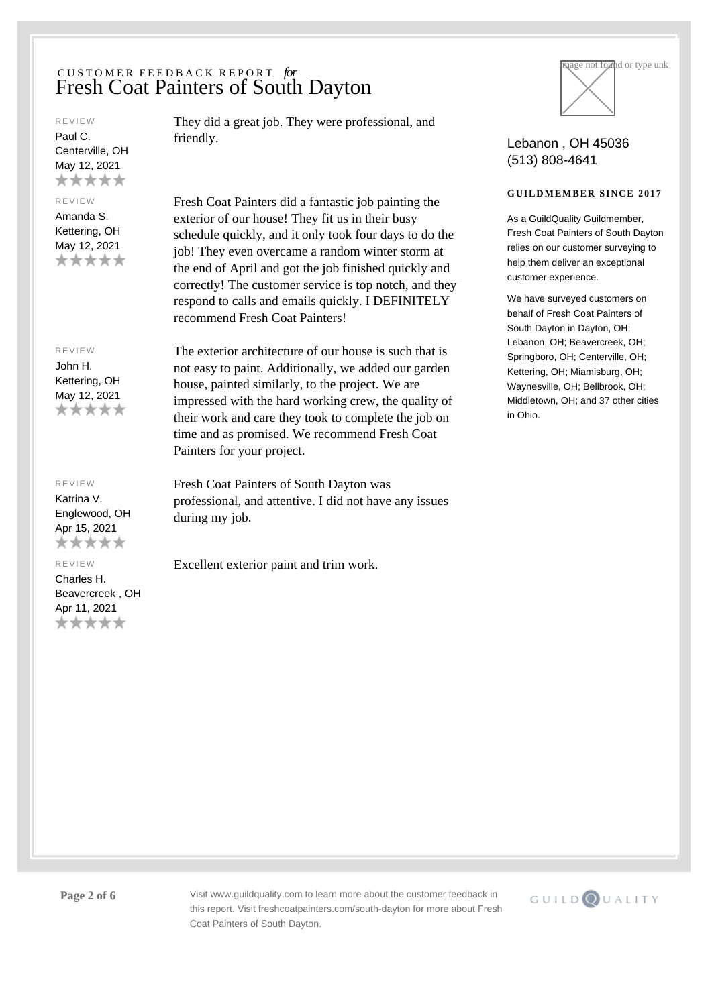#### REVIEW

Paul C. Centerville, OH May 12, 2021 \*\*\*\*\*

### REVIEW

Amanda S. Kettering, OH May 12, 2021 \*\*\*\*\*

#### REVIEW

John H. Kettering, OH May 12, 2021 \*\*\*\*\*

## REVIEW

Katrina V. Englewood, OH Apr 15, 2021 \*\*\*\*\*

REVIEW

Charles H. Beavercreek , OH Apr 11, 2021 \*\*\*\*\*

They did a great job. They were professional, and friendly.

Fresh Coat Painters did a fantastic job painting the exterior of our house! They fit us in their busy schedule quickly, and it only took four days to do the job! They even overcame a random winter storm at the end of April and got the job finished quickly and correctly! The customer service is top notch, and they respond to calls and emails quickly. I DEFINITELY recommend Fresh Coat Painters!

The exterior architecture of our house is such that is not easy to paint. Additionally, we added our garden house, painted similarly, to the project. We are impressed with the hard working crew, the quality of their work and care they took to complete the job on time and as promised. We recommend Fresh Coat Painters for your project.

Fresh Coat Painters of South Dayton was professional, and attentive. I did not have any issues during my job.

Excellent exterior paint and trim work.



## Lebanon , OH 45036 (513) 808-4641

## **GUILDMEMBER SINCE 2017**

As a GuildQuality Guildmember. Fresh Coat Painters of South Dayton relies on our customer surveying to help them deliver an exceptional customer experience.

We have surveyed customers on behalf of Fresh Coat Painters of South Dayton in Dayton, OH; Lebanon, OH; Beavercreek, OH; Springboro, OH; Centerville, OH; Kettering, OH; Miamisburg, OH; Waynesville, OH; Bellbrook, OH; Middletown, OH; and 37 other cities in Ohio.

Page 2 of 6 Visit www.guildquality.com to learn more about the customer feedback in this report. Visit freshcoatpainters.com/south-dayton for more about Fresh Coat Painters of South Dayton.

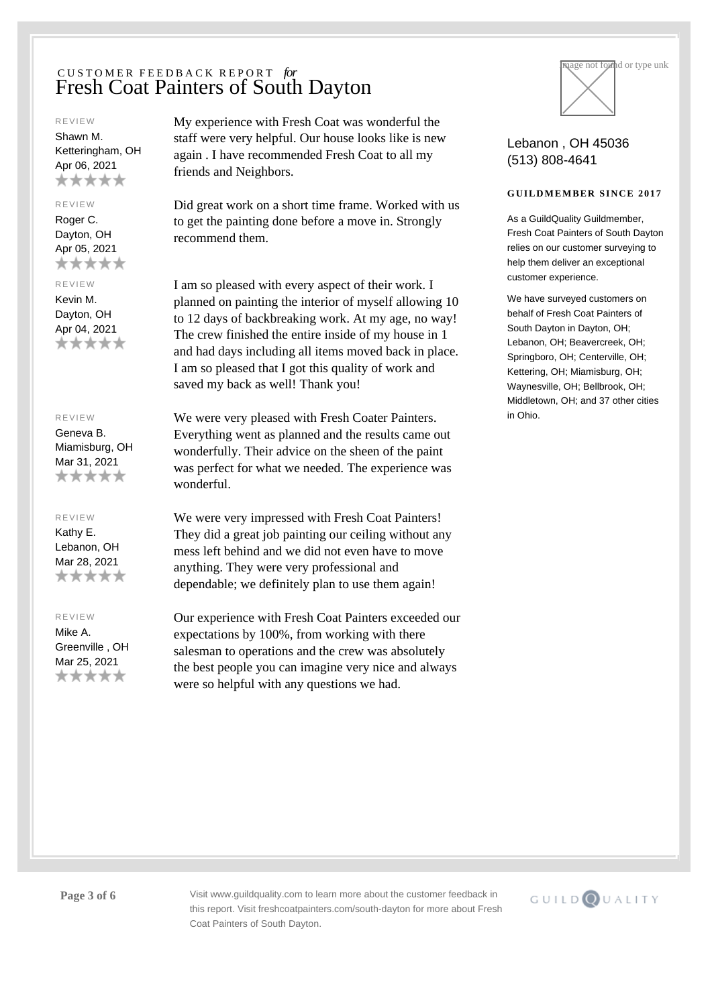#### REVIEW

Shawn M. Ketteringham, OH Apr 06, 2021 \*\*\*\*\*

### REVIEW

Roger C. Dayton, OH Apr 05, 2021 \*\*\*\*\*

#### REVIEW

Kevin M. Dayton, OH Apr 04, 2021 \*\*\*\*\*

#### REVIEW

Geneva B. Miamisburg, OH Mar 31, 2021 \*\*\*\*\*

### REVIEW

Kathy E. Lebanon, OH Mar 28, 2021 \*\*\*\*\*

#### REVIEW

Mike A. Greenville , OH Mar 25, 2021 \*\*\*\*\*

My experience with Fresh Coat was wonderful the staff were very helpful. Our house looks like is new again . I have recommended Fresh Coat to all my friends and Neighbors.

Did great work on a short time frame. Worked with us to get the painting done before a move in. Strongly recommend them.

I am so pleased with every aspect of their work. I planned on painting the interior of myself allowing 10 to 12 days of backbreaking work. At my age, no way! The crew finished the entire inside of my house in 1 and had days including all items moved back in place. I am so pleased that I got this quality of work and saved my back as well! Thank you!

We were very pleased with Fresh Coater Painters. Everything went as planned and the results came out wonderfully. Their advice on the sheen of the paint was perfect for what we needed. The experience was wonderful.

We were very impressed with Fresh Coat Painters! They did a great job painting our ceiling without any mess left behind and we did not even have to move anything. They were very professional and dependable; we definitely plan to use them again!

Our experience with Fresh Coat Painters exceeded our expectations by 100%, from working with there salesman to operations and the crew was absolutely the best people you can imagine very nice and always were so helpful with any questions we had.



## Lebanon , OH 45036 (513) 808-4641

## **GUILDMEMBER SINCE 2017**

As a GuildQuality Guildmember. Fresh Coat Painters of South Dayton relies on our customer surveying to help them deliver an exceptional customer experience.

We have surveyed customers on behalf of Fresh Coat Painters of South Dayton in Dayton, OH; Lebanon, OH; Beavercreek, OH; Springboro, OH; Centerville, OH; Kettering, OH; Miamisburg, OH; Waynesville, OH; Bellbrook, OH; Middletown, OH; and 37 other cities in Ohio.

Page 3 of 6 Visit www.guildquality.com to learn more about the customer feedback in this report. Visit freshcoatpainters.com/south-dayton for more about Fresh Coat Painters of South Dayton.

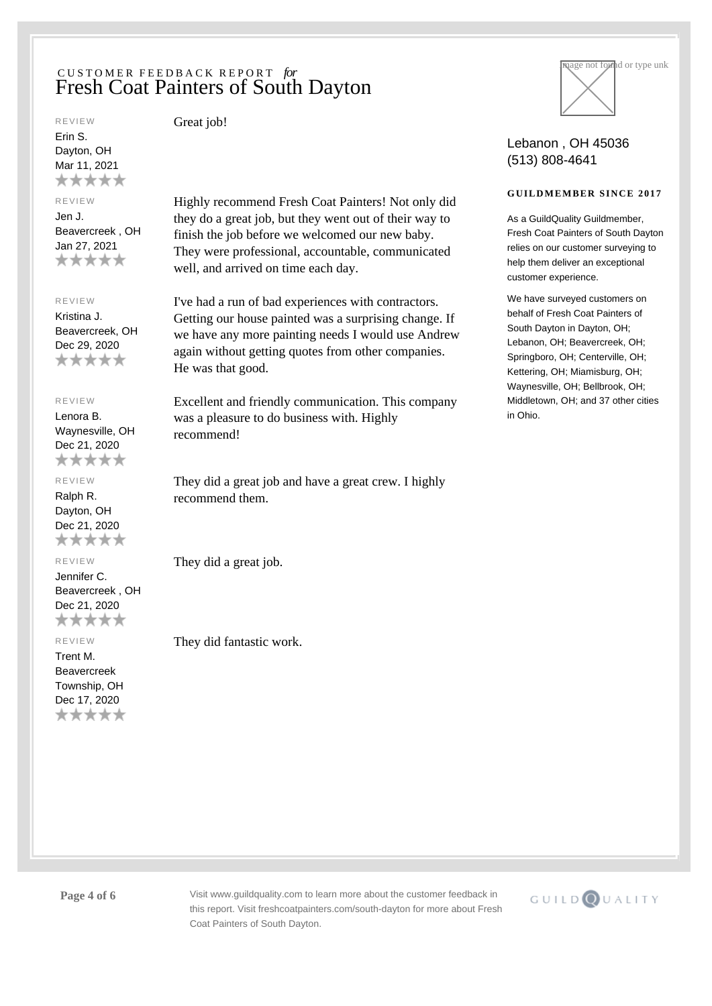#### REVIEW

Erin S. Dayton, OH Mar 11, 2021 \*\*\*\*\*

## REVIEW

Jen J. Beavercreek , OH Jan 27, 2021 \*\*\*\*\*

### REVIEW

Kristina J. Beavercreek, OH Dec 29, 2020 \*\*\*\*\*

## REVIEW

Lenora B. Waynesville, OH Dec 21, 2020 \*\*\*\*\*

# REVIEW

Ralph R. Dayton, OH Dec 21, 2020 \*\*\*\*\*

### REVIEW

Jennifer C. Beavercreek , OH Dec 21, 2020 \*\*\*\*\*

#### REVIEW

Trent M. Beavercreek Township, OH Dec 17, 2020 \*\*\*\*\* Great job!

Highly recommend Fresh Coat Painters! Not only did they do a great job, but they went out of their way to finish the job before we welcomed our new baby. They were professional, accountable, communicated well, and arrived on time each day.

I've had a run of bad experiences with contractors. Getting our house painted was a surprising change. If we have any more painting needs I would use Andrew again without getting quotes from other companies. He was that good.

Excellent and friendly communication. This company was a pleasure to do business with. Highly recommend!

They did a great job and have a great crew. I highly recommend them.

They did a great job.

They did fantastic work.



# Lebanon , OH 45036 (513) 808-4641

## **GUILDMEMBER SINCE 2017**

As a GuildQuality Guildmember. Fresh Coat Painters of South Dayton relies on our customer surveying to help them deliver an exceptional customer experience.

We have surveyed customers on behalf of Fresh Coat Painters of South Dayton in Dayton, OH; Lebanon, OH; Beavercreek, OH; Springboro, OH; Centerville, OH; Kettering, OH; Miamisburg, OH; Waynesville, OH; Bellbrook, OH; Middletown, OH; and 37 other cities in Ohio.

Page 4 of 6 Visit www.guildquality.com to learn more about the customer feedback in this report. Visit freshcoatpainters.com/south-dayton for more about Fresh Coat Painters of South Dayton.

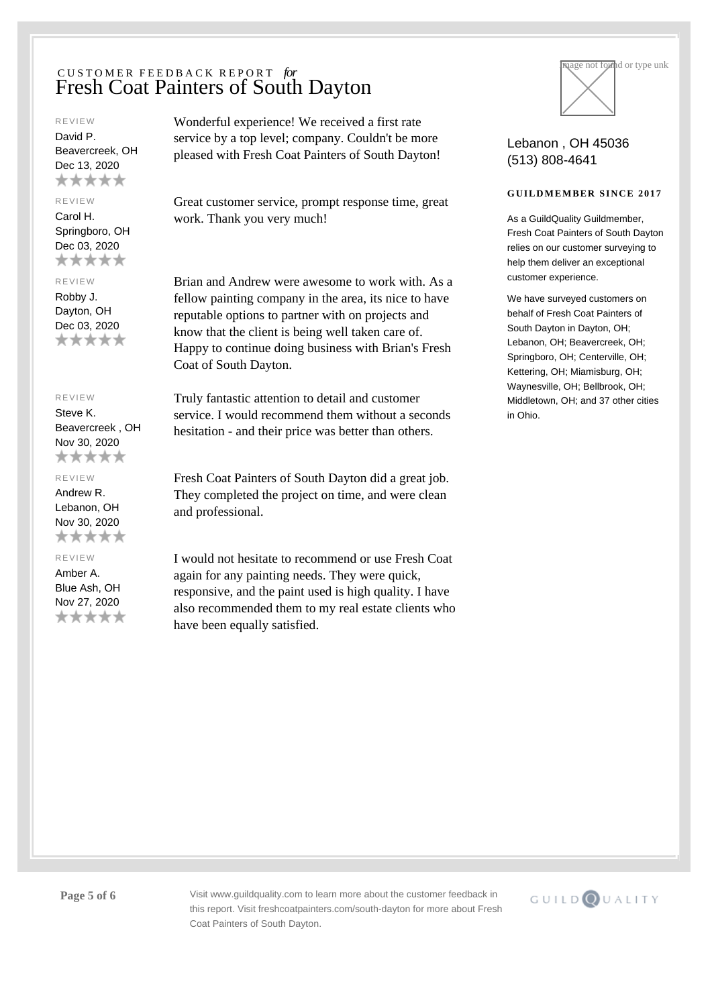#### REVIEW

David P. Beavercreek, OH Dec 13, 2020 \*\*\*\*\*

### REVIEW

Carol H. Springboro, OH Dec 03, 2020 \*\*\*\*\*

#### REVIEW

Robby J. Dayton, OH Dec 03, 2020 \*\*\*\*\*

## REVIEW

Steve K. Beavercreek , OH Nov 30, 2020 \*\*\*\*\*

#### REVIEW

Andrew R. Lebanon, OH Nov 30, 2020 \*\*\*\*\*

## REVIEW

Amber A. Blue Ash, OH Nov 27, 2020 \*\*\*\*\* Wonderful experience! We received a first rate service by a top level; company. Couldn't be more pleased with Fresh Coat Painters of South Dayton!

Great customer service, prompt response time, great work. Thank you very much!

Brian and Andrew were awesome to work with. As a fellow painting company in the area, its nice to have reputable options to partner with on projects and know that the client is being well taken care of. Happy to continue doing business with Brian's Fresh Coat of South Dayton.

Truly fantastic attention to detail and customer service. I would recommend them without a seconds hesitation - and their price was better than others.

Fresh Coat Painters of South Dayton did a great job. They completed the project on time, and were clean and professional.

I would not hesitate to recommend or use Fresh Coat again for any painting needs. They were quick, responsive, and the paint used is high quality. I have also recommended them to my real estate clients who have been equally satisfied.



## Lebanon , OH 45036 (513) 808-4641

## **GUILDMEMBER SINCE 2017**

As a GuildQuality Guildmember. Fresh Coat Painters of South Dayton relies on our customer surveying to help them deliver an exceptional customer experience.

We have surveyed customers on behalf of Fresh Coat Painters of South Dayton in Dayton, OH; Lebanon, OH; Beavercreek, OH; Springboro, OH; Centerville, OH; Kettering, OH; Miamisburg, OH; Waynesville, OH; Bellbrook, OH; Middletown, OH; and 37 other cities in Ohio.

Page 5 of 6 Visit www.guildquality.com to learn more about the customer feedback in this report. Visit freshcoatpainters.com/south-dayton for more about Fresh Coat Painters of South Dayton.